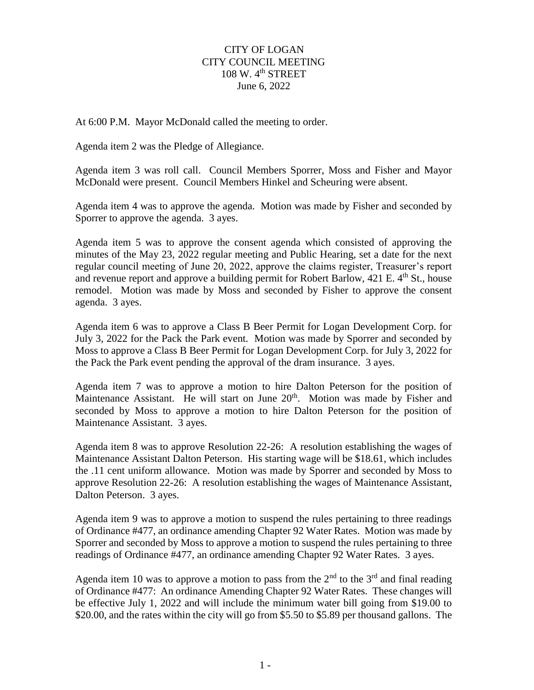## CITY OF LOGAN CITY COUNCIL MEETING  $108 \text{ W}$ .  $4^{\text{th}}$  STREET June 6, 2022

At 6:00 P.M. Mayor McDonald called the meeting to order.

Agenda item 2 was the Pledge of Allegiance.

Agenda item 3 was roll call. Council Members Sporrer, Moss and Fisher and Mayor McDonald were present. Council Members Hinkel and Scheuring were absent.

Agenda item 4 was to approve the agenda. Motion was made by Fisher and seconded by Sporrer to approve the agenda. 3 ayes.

Agenda item 5 was to approve the consent agenda which consisted of approving the minutes of the May 23, 2022 regular meeting and Public Hearing, set a date for the next regular council meeting of June 20, 2022, approve the claims register, Treasurer's report and revenue report and approve a building permit for Robert Barlow,  $421$  E.  $4<sup>th</sup>$  St., house remodel. Motion was made by Moss and seconded by Fisher to approve the consent agenda. 3 ayes.

Agenda item 6 was to approve a Class B Beer Permit for Logan Development Corp. for July 3, 2022 for the Pack the Park event. Motion was made by Sporrer and seconded by Moss to approve a Class B Beer Permit for Logan Development Corp. for July 3, 2022 for the Pack the Park event pending the approval of the dram insurance. 3 ayes.

Agenda item 7 was to approve a motion to hire Dalton Peterson for the position of Maintenance Assistant. He will start on June 20<sup>th</sup>. Motion was made by Fisher and seconded by Moss to approve a motion to hire Dalton Peterson for the position of Maintenance Assistant. 3 ayes.

Agenda item 8 was to approve Resolution 22-26: A resolution establishing the wages of Maintenance Assistant Dalton Peterson. His starting wage will be \$18.61, which includes the .11 cent uniform allowance. Motion was made by Sporrer and seconded by Moss to approve Resolution 22-26: A resolution establishing the wages of Maintenance Assistant, Dalton Peterson. 3 ayes.

Agenda item 9 was to approve a motion to suspend the rules pertaining to three readings of Ordinance #477, an ordinance amending Chapter 92 Water Rates. Motion was made by Sporrer and seconded by Moss to approve a motion to suspend the rules pertaining to three readings of Ordinance #477, an ordinance amending Chapter 92 Water Rates. 3 ayes.

Agenda item 10 was to approve a motion to pass from the  $2<sup>nd</sup>$  to the  $3<sup>rd</sup>$  and final reading of Ordinance #477: An ordinance Amending Chapter 92 Water Rates. These changes will be effective July 1, 2022 and will include the minimum water bill going from \$19.00 to \$20.00, and the rates within the city will go from \$5.50 to \$5.89 per thousand gallons. The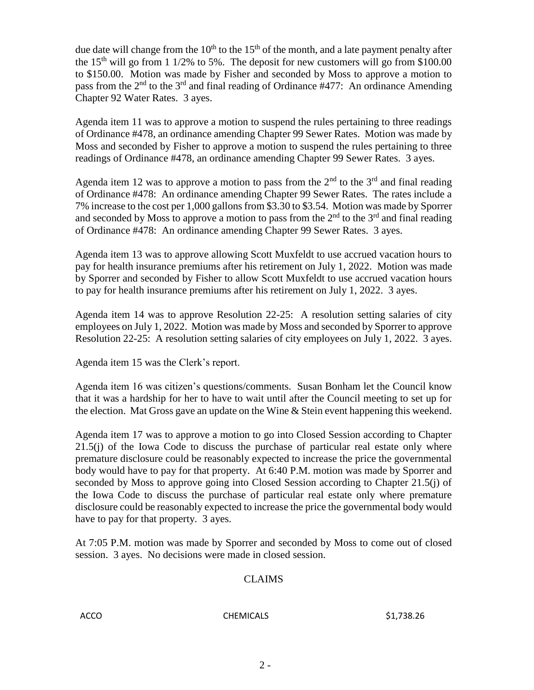due date will change from the  $10<sup>th</sup>$  to the  $15<sup>th</sup>$  of the month, and a late payment penalty after the 15<sup>th</sup> will go from 1 1/2% to 5%. The deposit for new customers will go from \$100.00 to \$150.00. Motion was made by Fisher and seconded by Moss to approve a motion to pass from the  $2<sup>nd</sup>$  to the  $3<sup>rd</sup>$  and final reading of Ordinance #477: An ordinance Amending Chapter 92 Water Rates. 3 ayes.

Agenda item 11 was to approve a motion to suspend the rules pertaining to three readings of Ordinance #478, an ordinance amending Chapter 99 Sewer Rates. Motion was made by Moss and seconded by Fisher to approve a motion to suspend the rules pertaining to three readings of Ordinance #478, an ordinance amending Chapter 99 Sewer Rates. 3 ayes.

Agenda item 12 was to approve a motion to pass from the  $2<sup>nd</sup>$  to the  $3<sup>rd</sup>$  and final reading of Ordinance #478: An ordinance amending Chapter 99 Sewer Rates. The rates include a 7% increase to the cost per 1,000 gallons from \$3.30 to \$3.54. Motion was made by Sporrer and seconded by Moss to approve a motion to pass from the  $2<sup>nd</sup>$  to the 3<sup>rd</sup> and final reading of Ordinance #478: An ordinance amending Chapter 99 Sewer Rates. 3 ayes.

Agenda item 13 was to approve allowing Scott Muxfeldt to use accrued vacation hours to pay for health insurance premiums after his retirement on July 1, 2022. Motion was made by Sporrer and seconded by Fisher to allow Scott Muxfeldt to use accrued vacation hours to pay for health insurance premiums after his retirement on July 1, 2022. 3 ayes.

Agenda item 14 was to approve Resolution 22-25: A resolution setting salaries of city employees on July 1, 2022. Motion was made by Moss and seconded by Sporrer to approve Resolution 22-25: A resolution setting salaries of city employees on July 1, 2022. 3 ayes.

Agenda item 15 was the Clerk's report.

Agenda item 16 was citizen's questions/comments. Susan Bonham let the Council know that it was a hardship for her to have to wait until after the Council meeting to set up for the election. Mat Gross gave an update on the Wine & Stein event happening this weekend.

Agenda item 17 was to approve a motion to go into Closed Session according to Chapter 21.5(j) of the Iowa Code to discuss the purchase of particular real estate only where premature disclosure could be reasonably expected to increase the price the governmental body would have to pay for that property. At 6:40 P.M. motion was made by Sporrer and seconded by Moss to approve going into Closed Session according to Chapter 21.5(j) of the Iowa Code to discuss the purchase of particular real estate only where premature disclosure could be reasonably expected to increase the price the governmental body would have to pay for that property. 3 ayes.

At 7:05 P.M. motion was made by Sporrer and seconded by Moss to come out of closed session. 3 ayes. No decisions were made in closed session.

## CLAIMS

## ACCO CHEMICALS \$1,738.26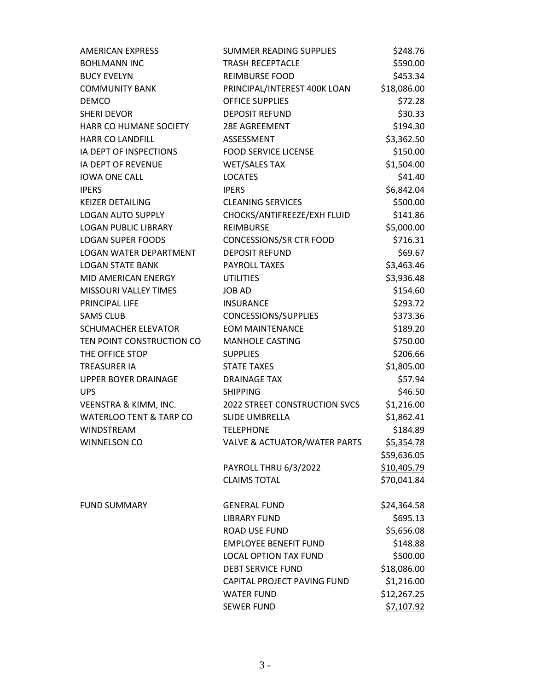| <b>AMERICAN EXPRESS</b>            | SUMMER READING SUPPLIES                 | \$248.76          |
|------------------------------------|-----------------------------------------|-------------------|
| <b>BOHLMANN INC</b>                | <b>TRASH RECEPTACLE</b>                 | \$590.00          |
| <b>BUCY EVELYN</b>                 | <b>REIMBURSE FOOD</b>                   | \$453.34          |
| <b>COMMUNITY BANK</b>              | PRINCIPAL/INTEREST 400K LOAN            | \$18,086.00       |
| <b>DEMCO</b>                       | <b>OFFICE SUPPLIES</b>                  | \$72.28           |
| <b>SHERI DEVOR</b>                 | <b>DEPOSIT REFUND</b>                   | \$30.33           |
| HARR CO HUMANE SOCIETY             | 28E AGREEMENT                           | \$194.30          |
| <b>HARR CO LANDFILL</b>            | ASSESSMENT                              | \$3,362.50        |
| IA DEPT OF INSPECTIONS             | <b>FOOD SERVICE LICENSE</b>             | \$150.00          |
| <b>IA DEPT OF REVENUE</b>          | <b>WET/SALES TAX</b>                    | \$1,504.00        |
| <b>IOWA ONE CALL</b>               | <b>LOCATES</b>                          | \$41.40           |
| <b>IPERS</b>                       | <b>IPERS</b>                            | \$6,842.04        |
| <b>KEIZER DETAILING</b>            | <b>CLEANING SERVICES</b>                | \$500.00          |
| <b>LOGAN AUTO SUPPLY</b>           | CHOCKS/ANTIFREEZE/EXH FLUID             | \$141.86          |
| <b>LOGAN PUBLIC LIBRARY</b>        | <b>REIMBURSE</b>                        | \$5,000.00        |
| <b>LOGAN SUPER FOODS</b>           | CONCESSIONS/SR CTR FOOD                 | \$716.31          |
| <b>LOGAN WATER DEPARTMENT</b>      | <b>DEPOSIT REFUND</b>                   | \$69.67           |
| <b>LOGAN STATE BANK</b>            | <b>PAYROLL TAXES</b>                    | \$3,463.46        |
| MID AMERICAN ENERGY                | <b>UTILITIES</b>                        | \$3,936.48        |
| <b>MISSOURI VALLEY TIMES</b>       | <b>JOB AD</b>                           | \$154.60          |
| PRINCIPAL LIFE                     | <b>INSURANCE</b>                        | \$293.72          |
| <b>SAMS CLUB</b>                   | CONCESSIONS/SUPPLIES                    | \$373.36          |
| <b>SCHUMACHER ELEVATOR</b>         | <b>EOM MAINTENANCE</b>                  | \$189.20          |
| TEN POINT CONSTRUCTION CO          | <b>MANHOLE CASTING</b>                  | \$750.00          |
| THE OFFICE STOP                    | <b>SUPPLIES</b>                         | \$206.66          |
| <b>TREASURER IA</b>                | <b>STATE TAXES</b>                      | \$1,805.00        |
| <b>UPPER BOYER DRAINAGE</b>        | <b>DRAINAGE TAX</b>                     | \$57.94           |
| <b>UPS</b>                         | <b>SHIPPING</b>                         | \$46.50           |
| VEENSTRA & KIMM, INC.              | <b>2022 STREET CONSTRUCTION SVCS</b>    | \$1,216.00        |
| <b>WATERLOO TENT &amp; TARP CO</b> | <b>SLIDE UMBRELLA</b>                   | \$1,862.41        |
| <b>WINDSTREAM</b>                  | <b>TELEPHONE</b>                        | \$184.89          |
| WINNELSON CO                       | <b>VALVE &amp; ACTUATOR/WATER PARTS</b> | <u>\$5,354.78</u> |
|                                    |                                         | \$59,636.05       |
|                                    | PAYROLL THRU 6/3/2022                   | \$10,405.79       |
|                                    | <b>CLAIMS TOTAL</b>                     | \$70,041.84       |
| <b>FUND SUMMARY</b>                | <b>GENERAL FUND</b>                     | \$24,364.58       |
|                                    | <b>LIBRARY FUND</b>                     | \$695.13          |
|                                    | ROAD USE FUND                           | \$5,656.08        |
|                                    | <b>EMPLOYEE BENEFIT FUND</b>            | \$148.88          |
|                                    | <b>LOCAL OPTION TAX FUND</b>            | \$500.00          |
|                                    | <b>DEBT SERVICE FUND</b>                | \$18,086.00       |
|                                    | CAPITAL PROJECT PAVING FUND             | \$1,216.00        |
|                                    | <b>WATER FUND</b>                       | \$12,267.25       |
|                                    | <b>SEWER FUND</b>                       | \$7,107.92        |